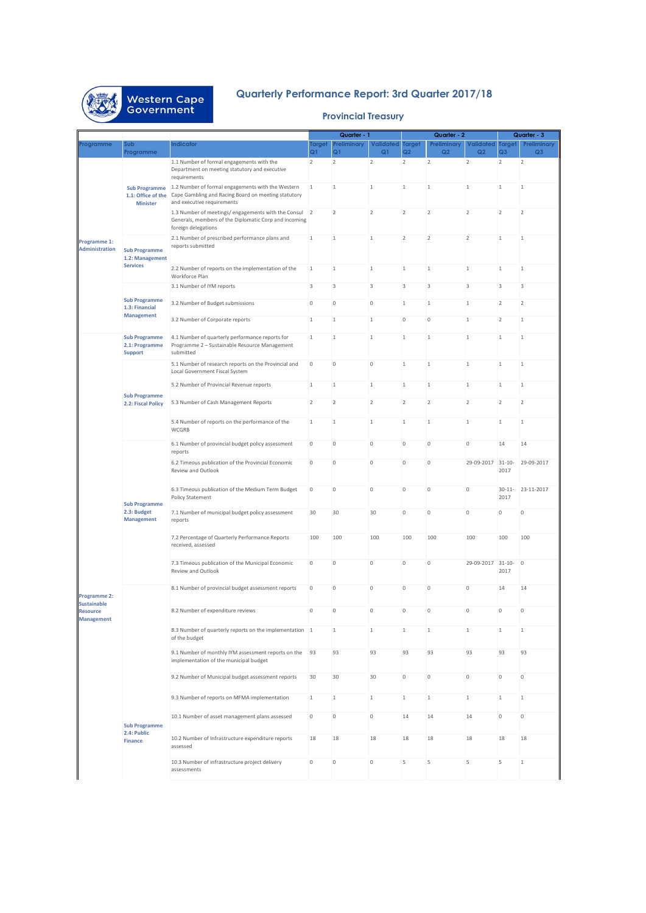

## **Quarterly Performance Report: 3rd Quarter 2017/18**

## **Provincial Treasury**

|                                                                            |                                                            |                                                                                                                                                      | Quarter - 1               |                               | Quarter - 2     |                           |                           | Quarter - 3                        |                                 |                               |
|----------------------------------------------------------------------------|------------------------------------------------------------|------------------------------------------------------------------------------------------------------------------------------------------------------|---------------------------|-------------------------------|-----------------|---------------------------|---------------------------|------------------------------------|---------------------------------|-------------------------------|
| Programme                                                                  | Sub<br>Programme                                           | ndicator                                                                                                                                             | Target<br>Q <sub>1</sub>  | Preliminary<br>Q <sub>1</sub> | Validated<br>Q1 | <b>Target</b><br>Q2       | Preliminary<br>Q2         | <b>Validated</b><br>Q <sub>2</sub> | <b>Target</b><br>Q <sub>3</sub> | Preliminary<br>Q <sub>3</sub> |
| Programme 1:<br><b>Administration</b>                                      | 1.1: Office of the<br><b>Minister</b>                      | 1.1 Number of formal engagements with the<br>Department on meeting statutory and executive<br>requirements                                           | $\overline{2}$            | $\overline{2}$                | $\overline{2}$  | $\overline{2}$            | $\overline{2}$            | $\overline{2}$                     | $\overline{2}$                  | $\overline{2}$                |
|                                                                            |                                                            | Sub Programme 1.2 Number of formal engagements with the Western<br>Cape Gambling and Racing Board on meeting statutory<br>and executive requirements | $\mathbf{1}$              | $\overline{1}$                | $\mathbf{1}$    | $\mathbf{1}$              | $\mathbf{1}$              | $\mathbf{1}$                       | $\,1\,$                         | $\mathbf{1}$                  |
|                                                                            |                                                            | 1.3 Number of meetings/engagements with the Consul 2<br>Generals, members of the Diplomatic Corp and incoming<br>foreign delegations                 |                           | $\overline{2}$                | $\overline{2}$  | $\overline{2}$            | $\overline{2}$            | $\overline{2}$                     | $\overline{2}$                  | $\overline{2}$                |
|                                                                            | <b>Sub Programme</b><br>1.2: Management<br><b>Services</b> | 2.1 Number of prescribed performance plans and<br>reports submitted                                                                                  | $\mathbf{1}$              | $\overline{1}$                | $\mathbf{1}$    | $\overline{2}$            | $\overline{2}$            | $\overline{2}$                     | $\,1\,$                         | $\mathbf{1}$                  |
|                                                                            |                                                            | 2.2 Number of reports on the implementation of the<br>Workforce Plan                                                                                 | $\mathbf{1}$              | 1                             | $\mathbf{1}$    | $1\,$                     | $\mathbf{1}$              | $\mathbf{1}$                       | $1\,$                           | $1\,$                         |
|                                                                            |                                                            | 3.1 Number of IYM reports                                                                                                                            | $\ensuremath{\mathsf{3}}$ | $\ensuremath{\mathsf{3}}$     | $\sqrt{3}$      | $\ensuremath{\mathsf{3}}$ | $\ensuremath{\mathsf{3}}$ | 3                                  | 3                               | 3                             |
|                                                                            | <b>Sub Programme</b><br>1.3: Financial                     | 3.2 Number of Budget submissions                                                                                                                     | $\circ$                   | $\circ$                       | $\mathbb O$     | $\mathbf{1}$              | $\mathbf{1}$              | $\mathbf{1}$                       | $\overline{2}$                  | $\overline{2}$                |
|                                                                            | <b>Management</b>                                          | 3.2 Number of Corporate reports                                                                                                                      | $\mathbf{1}$              | 1                             | $\mathbf{1}$    | $\circ$                   | $\mathsf{O}\xspace$       | $\mathbf{1}$                       | $\overline{2}$                  | $1\,$                         |
|                                                                            | <b>Sub Programme</b><br>2.1: Programme<br><b>Support</b>   | 4.1 Number of quarterly performance reports for<br>Programme 2 - Sustainable Resource Management<br>submitted                                        | $\,1\,$                   | $\mathbf{1}$                  | $\mathbf{1}$    | $\mathbf{1}$              | $\,1\,$                   | $1\,$                              | $\,1\,$                         | $1\,$                         |
|                                                                            |                                                            | 5.1 Number of research reports on the Provincial and<br>Local Government Fiscal System                                                               | $\mathbf 0$               | $\mathbb O$                   | $\mathbb O$     | $\mathbf{1}$              | $\mathbf{1}$              | $\mathbf{1}$                       | $\mathbf{1}$                    | $\mathbf{1}$                  |
|                                                                            | <b>Sub Programme</b>                                       | 5.2 Number of Provincial Revenue reports                                                                                                             | $1\,$                     | 1                             | $\mathbf{1}$    | $\mathbf{1}$              | $\mathbf{1}$              | $\,1\,$                            | $\,1$                           | $1\,$                         |
|                                                                            | 2.2: Fiscal Policy                                         | 5.3 Number of Cash Management Reports                                                                                                                | $\overline{2}$            | $\overline{2}$                | $\overline{2}$  | $\overline{2}$            | $\overline{2}$            | $\overline{2}$                     | $\overline{2}$                  | $\overline{2}$                |
|                                                                            |                                                            | 5.4 Number of reports on the performance of the<br>WCGRB                                                                                             | $\mathbf{1}$              | $\mathbf{1}$                  | $\mathbf{1}$    | $\mathbf{1}$              | $\mathbf{1}$              | $1\,$                              | $1\,$                           | $\mathbf{1}$                  |
|                                                                            | <b>Sub Programme</b><br>2.3: Budget<br><b>Management</b>   | 6.1 Number of provincial budget policy assessment<br>reports                                                                                         | $\circ$                   | $\circ$                       | $\,0\,$         | $\mathbf 0$               | $\bf 0$                   | 0                                  | 14                              | 14                            |
|                                                                            |                                                            | 6.2 Timeous publication of the Provincial Economic<br>Review and Outlook                                                                             | $\mathsf{O}\xspace$       | $\mathbb O$                   | $\mathbb O$     | $\mathbb O$               | $\bf 0$                   | 29-09-2017 31-10-                  | 2017                            | 29-09-2017                    |
|                                                                            |                                                            | 6.3 Timeous publication of the Medium Term Budget<br>Policy Statement                                                                                | $\mathbf 0$               | $\mathbb O$                   | $\,0\,$         | $\bf 0$                   | $\mathbf 0$               | 0                                  | $30 - 11 -$<br>2017             | 23-11-2017                    |
|                                                                            |                                                            | 7.1 Number of municipal budget policy assessment<br>reports                                                                                          | 30                        | 30                            | 30              | $\mathbb O$               | $\bf 0$                   | 0                                  | 0                               | $\mathbf 0$                   |
| Programme 2:<br><b>Sustainable</b><br><b>Resource</b><br><b>Management</b> |                                                            | 7.2 Percentage of Quarterly Performance Reports<br>received, assessed                                                                                | 100                       | 100                           | 100             | 100                       | 100                       | 100                                | 100                             | 100                           |
|                                                                            |                                                            | 7.3 Timeous publication of the Municipal Economic<br>Review and Outlook                                                                              | $\circ$                   | $\circ$                       | $\mathbb O$     | $\mathbb O$               | $\bf 0$                   | 29-09-2017 31-10-                  | 2017                            | $\overline{0}$                |
|                                                                            |                                                            | 8.1 Number of provincial budget assessment reports                                                                                                   | $\mathbf 0$               | $\mathbb O$                   | $\mathbb O$     | $\mathbb O$               | $\bf 0$                   | 0                                  | 14                              | 14                            |
|                                                                            |                                                            | 8.2 Number of expenditure reviews                                                                                                                    | $\circ$                   | $\mathbb O$                   | $\mathbb O$     | $\mathbb O$               | $\bf 0$                   | $\bf 0$                            | $\bf 0$                         | $\bf 0$                       |
|                                                                            | <b>Sub Programme</b><br>2.4: Public<br><b>Finance</b>      | 8.3 Number of quarterly reports on the implementation 1<br>of the budget                                                                             |                           | 1                             | $1\,$           | $\mathbf{1}$              | $\mathbf{1}$              | $1\,$                              | $1\,$                           | $\mathbf{1}$                  |
|                                                                            |                                                            | 9.1 Number of monthly IYM assessment reports on the<br>implementation of the municipal budget                                                        | 93                        | 93                            | 93              | 93                        | 93                        | 93                                 | 93                              | 93                            |
|                                                                            |                                                            | 9.2 Number of Municipal budget assessment reports                                                                                                    | 30                        | 30                            | 30              | $\,0\,$                   | $\mathbb O$               | $\,0\,$                            | $\mathbb O$                     | $\mathsf{O}\xspace$           |
|                                                                            |                                                            | 9.3 Number of reports on MFMA implementation                                                                                                         | $\mathbf{1}$              | 1                             | $\mathbf{1}$    | $1\,$                     | $\mathbf{1}$              | $\mathbf{1}$                       | $\,1\,$                         | $1\,$                         |
|                                                                            |                                                            | 10.1 Number of asset management plans assessed                                                                                                       | $\circ$                   | $\circ$                       | $\bf 0$         | 14                        | 14                        | 14                                 | 0                               | $\mathbf 0$                   |
|                                                                            |                                                            | 10.2 Number of Infrastructure expenditure reports<br>assessed                                                                                        | 18                        | 18                            | 18              | 18                        | 18                        | 18                                 | 18                              | 18                            |
|                                                                            |                                                            | 10.3 Number of infrastructure project delivery<br>assessments                                                                                        | $\circ$                   | $\mathbb O$                   | $\mathbb O$     | 5                         | 5                         | 5                                  | 5                               | $1\,$                         |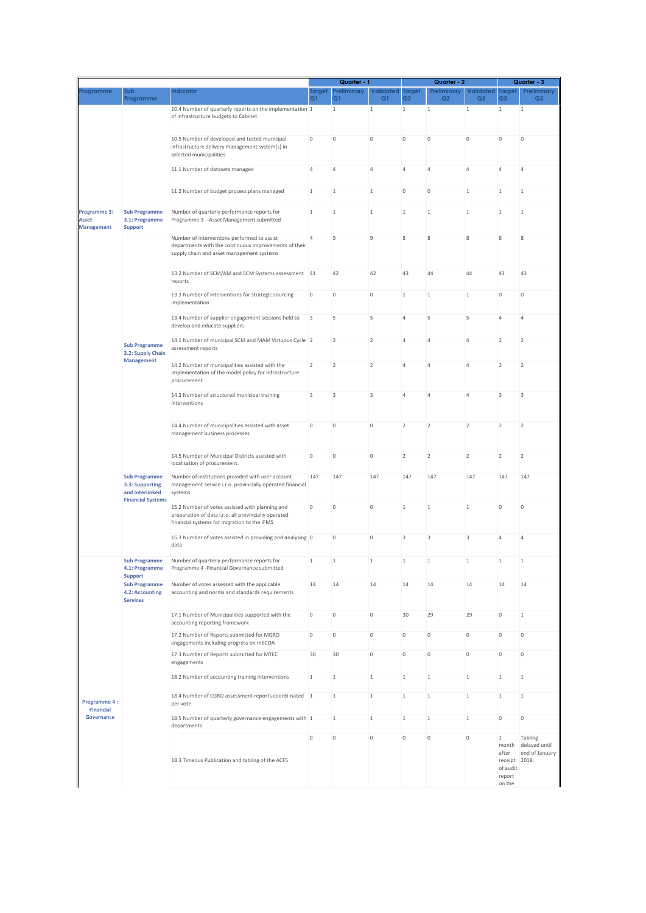|                                                |                                                                                        |                                                                                                                                                        |                     | Quarter - 1                   |                        | Quarter - 2         |                   |                             | Quarter - 3                                                     |                                 |
|------------------------------------------------|----------------------------------------------------------------------------------------|--------------------------------------------------------------------------------------------------------------------------------------------------------|---------------------|-------------------------------|------------------------|---------------------|-------------------|-----------------------------|-----------------------------------------------------------------|---------------------------------|
| Programme                                      | Sub<br>Programme                                                                       | Indicator                                                                                                                                              | Target<br>Q1        | Preliminary<br>Q <sub>1</sub> | <b>Validated</b><br>Q1 | <b>Target</b><br>Q2 | Preliminary<br>Q2 | Validated<br>Q <sub>2</sub> | <b>Target</b><br>Q <sub>3</sub>                                 | Preliminary<br>Q <sub>3</sub>   |
|                                                |                                                                                        | 10.4 Number of quarterly reports on the implementation 1<br>of infrastructure budgets to Cabinet                                                       |                     | $\mathbf{1}$                  | $\mathbf{1}$           | $\mathbf{1}$        | $\mathbf{1}$      | $\mathbf{1}$                | $\mathbf{1}$                                                    | $\mathbf{1}$                    |
|                                                |                                                                                        | 10.5 Number of developed and tested municipal<br>infrastructure delivery management system(s) in<br>selected municipalities                            | $\mathsf{O}\xspace$ | $\theta$                      | $\mathbb O$            | $\mathbb O$         | $\mathbb O$       | $\mathbb O$                 | $\mathbb O$                                                     | $\mathbf 0$                     |
|                                                |                                                                                        | 11.1 Number of datasets managed                                                                                                                        | 4                   | $\overline{4}$                | $\overline{4}$         | $\overline{4}$      | $\overline{4}$    | $\overline{4}$              | $\overline{4}$                                                  | 4                               |
|                                                |                                                                                        | 11.2 Number of budget process plans managed                                                                                                            | $\mathbf{1}$        | $\mathbf{1}$                  | $\mathbf{1}$           | $\circ$             | $\mathbb O$       | $\mathbf{1}$                | $\mathbf{1}$                                                    | $\mathbf{1}$                    |
| Programme 3:<br>Asset<br><b>Management</b>     | <b>Sub Programme</b><br>3.1: Programme<br><b>Support</b>                               | Number of quarterly performance reports for<br>Programme 3 - Asset Management submitted                                                                | $\,1\,$             | $\mathbf{1}$                  | $1\,$                  | $1\,$               | $1\,$             | $1\,$                       | $1\,$                                                           | $\mathbf{1}$                    |
|                                                |                                                                                        | Number of interventions performed to assist<br>departments with the continuous improvements of their<br>supply chain and asset management systems      | 4                   | $\overline{9}$                | $\overline{9}$         | 8                   | 8                 | 8                           | $\,$ 8 $\,$                                                     | 8                               |
|                                                |                                                                                        | 13.2 Number of SCM/AM and SCM Systems assessment 41<br>reports                                                                                         |                     | 42                            | 42                     | 43                  | 44                | 44                          | 43                                                              | 43                              |
|                                                |                                                                                        | 13.3 Number of interventions for strategic sourcing<br>implementation                                                                                  | $\circ$             | $\theta$                      | $\mathbb O$            | $\mathbf{1}$        | 1                 | $\mathbf{1}$                | $\mathbb O$                                                     | $\bf 0$                         |
|                                                |                                                                                        | 13.4 Number of supplier engagement sessions held to<br>develop and educate suppliers                                                                   | 3                   | 5                             | 5                      | $\overline{4}$      | 5                 | 5                           | $\overline{4}$                                                  | $\overline{4}$                  |
|                                                | <b>Sub Programme</b><br>3.2: Supply Chain                                              | 14.1 Number of municipal SCM and MAM Virtuous Cycle 2<br>assessment reports                                                                            |                     | $\overline{2}$                | $\overline{2}$         | $\overline{4}$      | $\overline{4}$    | $\overline{4}$              | $\overline{2}$                                                  | $\overline{2}$                  |
|                                                | <b>Management</b>                                                                      | 14.2 Number of municipalities assisted with the<br>implementation of the model policy for infrastructure<br>procurement                                | $\overline{2}$      | $\overline{2}$                | $\overline{2}$         | $\overline{4}$      | $\overline{4}$    | $\overline{4}$              | $\overline{2}$                                                  | $\overline{2}$                  |
|                                                |                                                                                        | 14.3 Number of structured municipal training<br>interventions                                                                                          | 3                   | 3                             | 3                      | $\overline{4}$      | $\overline{4}$    | $\overline{4}$              | 3                                                               | 3                               |
|                                                |                                                                                        | 14.4 Number of municipalities assisted with asset<br>management business processes                                                                     | $\,0\,$             | $\bf 0$                       | $\mathbb O$            | $\overline{2}$      | $\overline{2}$    | $\overline{2}$              | $\overline{2}$                                                  | $\overline{2}$                  |
|                                                |                                                                                        | 14.5 Number of Municipal Districts assisted with<br>localisation of procurement.                                                                       | 0                   | $\bf 0$                       | $\bf 0$                | $\overline{2}$      | $\overline{2}$    | $\overline{2}$              | $\overline{2}$                                                  | $\overline{2}$                  |
|                                                | <b>Sub Programme</b><br>3.3: Supporting<br>and Interlinked<br><b>Financial Systems</b> | Number of institutions provided with user account<br>management service i.r.o. provincially operated financial<br>systems                              | 147                 | 147                           | 147                    | 147                 | 147               | 147                         | 147                                                             | 147                             |
|                                                |                                                                                        | 15.2 Number of votes assisted with planning and<br>preparation of data i.r.o. all provincially operated<br>financial systems for migration to the IFMS | 0                   | $\theta$                      | $\bf 0$                | $1\,$               | $\mathbf{1}$      | $1\,$                       | $\mathbb O$                                                     | 0                               |
|                                                |                                                                                        | 15.3 Number of votes assisted in providing and analysing 0<br>data                                                                                     |                     | $\bf 0$                       | $\circ$                | 3                   | $\overline{3}$    | 3                           | $\overline{A}$                                                  | 4                               |
|                                                | <b>Sub Programme</b><br>4.1: Programme<br><b>Support</b>                               | Number of quarterly performance reports for<br>Programme 4 - Financial Governance submitted                                                            |                     | 1                             |                        |                     | 1                 |                             |                                                                 |                                 |
| Programme 4:<br><b>Financial</b><br>Governance | <b>Sub Programme</b><br>4.2: Accounting<br><b>Services</b>                             | Number of votes assessed with the applicable<br>accounting and norms and standards requirements                                                        | 14                  | 14                            | 14                     | 14                  | 14                | 14                          | 14                                                              | 14                              |
|                                                |                                                                                        | 17.1 Number of Municipalities supported with the<br>accounting reporting framework                                                                     | 0                   | $\circ$                       | $\circ$                | 30                  | 29                | 29                          | $\circ$                                                         | $\mathbf{1}$                    |
|                                                |                                                                                        | 17.2 Number of Reports submitted for MGRO<br>engagements including progress on mSCOA                                                                   | 0                   | $\mathbb O$                   | $\mathbb O$            | $\circ$             | $\mathbb O$       | $\mathbb O$                 | $\mathbb O$                                                     | $\bf 0$                         |
|                                                |                                                                                        | 17.3 Number of Reports submitted for MTEC<br>engagements                                                                                               | 30                  | 30                            | $\mathbb O$            | $\circ$             | $\mathbb O$       | $\mathbb O$                 | $\mathbb O$                                                     | $\bf 0$                         |
|                                                |                                                                                        | 18.2 Number of accounting training interventions                                                                                                       | $\mathbf{1}$        | $\mathbf{1}$                  | $1\,$                  | $\mathbf{1}$        | $\mathbf{1}$      | 1                           | $\mathbf{1}$                                                    | $\mathbf{1}$                    |
|                                                |                                                                                        | 18.4 Number of CGRO assessment reports coordi-nated 1<br>per vote                                                                                      |                     | $\mathbf{1}$<br>$\mathbf{1}$  | $1\,$<br>1             | $1\,$<br>1          | $\mathbf{1}$<br>1 | $1\,$                       | $1\,$<br>$\mathbb O$                                            | $1\,$<br>$\mathsf{O}\xspace$    |
|                                                |                                                                                        | 18.5 Number of quarterly governance engagements with 1<br>departments                                                                                  | $\mathbf 0$         | $\bf 0$                       | $\circ$                | $\circ$             | $\mathbb O$       | $\mathbf{1}$<br>$\mathbb O$ | $\mathbf{1}$                                                    | Tabling                         |
|                                                |                                                                                        | 18.3 Timeous Publication and tabling of the ACFS                                                                                                       |                     |                               |                        |                     |                   |                             | month<br>after<br>receipt 2018.<br>of audit<br>report<br>on the | delayed until<br>end of January |